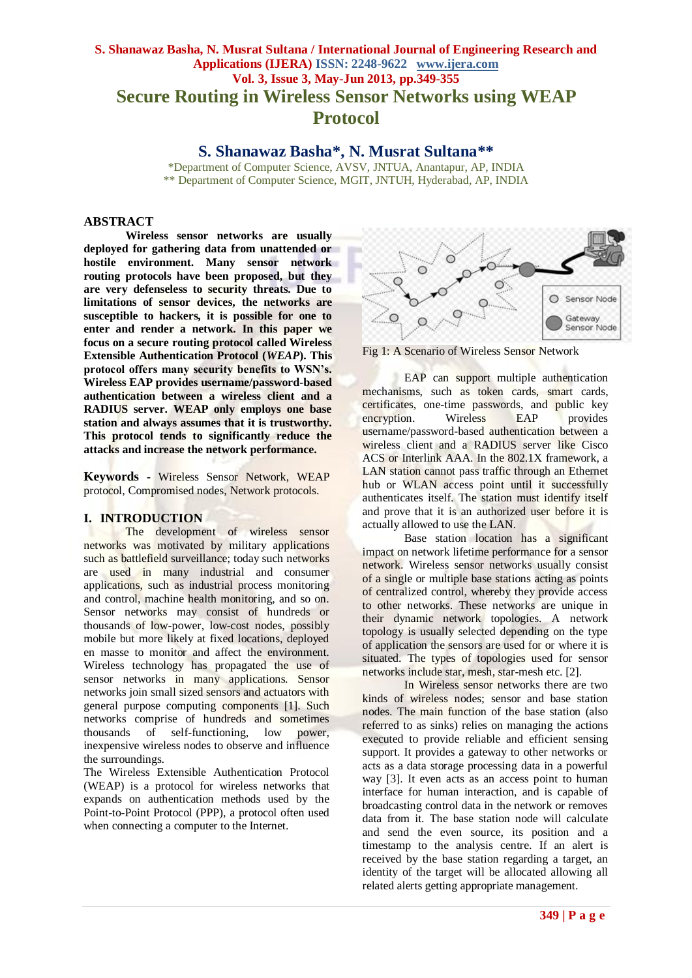# **S. Shanawaz Basha, N. Musrat Sultana / International Journal of Engineering Research and Applications (IJERA) ISSN: 2248-9622 www.ijera.com Vol. 3, Issue 3, May-Jun 2013, pp.349-355 Secure Routing in Wireless Sensor Networks using WEAP Protocol**

**S. Shanawaz Basha\*, N. Musrat Sultana\*\***

\*Department of Computer Science, AVSV, JNTUA, Anantapur, AP, INDIA \*\* Department of Computer Science, MGIT, JNTUH, Hyderabad, AP, INDIA

# **ABSTRACT**

**Wireless sensor networks are usually deployed for gathering data from unattended or hostile environment. Many sensor network routing protocols have been proposed, but they are very defenseless to security threats. Due to limitations of sensor devices, the networks are susceptible to hackers, it is possible for one to enter and render a network. In this paper we focus on a secure routing protocol called Wireless Extensible Authentication Protocol (***WEAP***). This protocol offers many security benefits to WSN's. Wireless EAP provides username/password-based authentication between a wireless client and a RADIUS server. WEAP only employs one base station and always assumes that it is trustworthy. This protocol tends to significantly reduce the attacks and increase the network performance.**

**Keywords -** Wireless Sensor Network, WEAP protocol, Compromised nodes, Network protocols.

## **I. INTRODUCTION**

The development of wireless sensor networks was motivated by military applications such as battlefield surveillance; today such networks are used in many industrial and consumer applications, such as industrial process monitoring and control, machine health monitoring, and so on. Sensor networks may consist of hundreds or thousands of low-power, low-cost nodes, possibly mobile but more likely at fixed locations, deployed en masse to monitor and affect the environment. Wireless technology has propagated the use of sensor networks in many applications. Sensor networks join small sized sensors and actuators with general purpose computing components [1]. Such networks comprise of hundreds and sometimes thousands of self-functioning, low power, inexpensive wireless nodes to observe and influence the surroundings.

The Wireless Extensible Authentication Protocol (WEAP) is a [protocol](http://searchnetworking.techtarget.com/definition/protocol) for wireless networks that expands on [authentication](http://searchsecurity.techtarget.com/definition/authentication) methods used by the Point-to-Point Protocol [\(PPP\)](http://searchnetworking.techtarget.com/definition/PPP), a protocol often used when connecting a computer to the Internet.



Fig 1: A Scenario of Wireless Sensor Network

EAP can support multiple authentication mechanisms, such as token cards, [smart](http://searchsecurity.techtarget.com/definition/smart-card) cards, certificates, one-time passwords, and [public key](http://searchsecurity.techtarget.com/definition/public-key) [encryption.](http://searchsecurity.techtarget.com/definition/encryption) Wireless EAP provides username/password-based authentication between a wireless client and a RADIUS server like Cisco ACS or Interlink AAA. In the 802.1X framework, a LAN station cannot pass traffic through an Ethernet hub or WLAN access point until it successfully authenticates itself. The station must identify itself and prove that it is an authorized user before it is actually allowed to use the LAN.

Base station location has a significant impact on network lifetime performance for a sensor network. Wireless sensor networks usually consist of a single or multiple base stations acting as points of centralized control, whereby they provide access to other networks. These networks are unique in their dynamic network topologies. A network topology is usually selected depending on the type of application the sensors are used for or where it is situated. The types of topologies used for sensor networks include star, mesh, star-mesh etc. [2].

In Wireless sensor networks there are two kinds of wireless nodes; sensor and base station nodes. The main function of the base station (also referred to as sinks) relies on managing the actions executed to provide reliable and efficient sensing support. It provides a gateway to other networks or acts as a data storage processing data in a powerful way [3]. It even acts as an access point to human interface for human interaction, and is capable of broadcasting control data in the network or removes data from it. The base station node will calculate and send the even source, its position and a timestamp to the analysis centre. If an alert is received by the base station regarding a target, an identity of the target will be allocated allowing all related alerts getting appropriate management.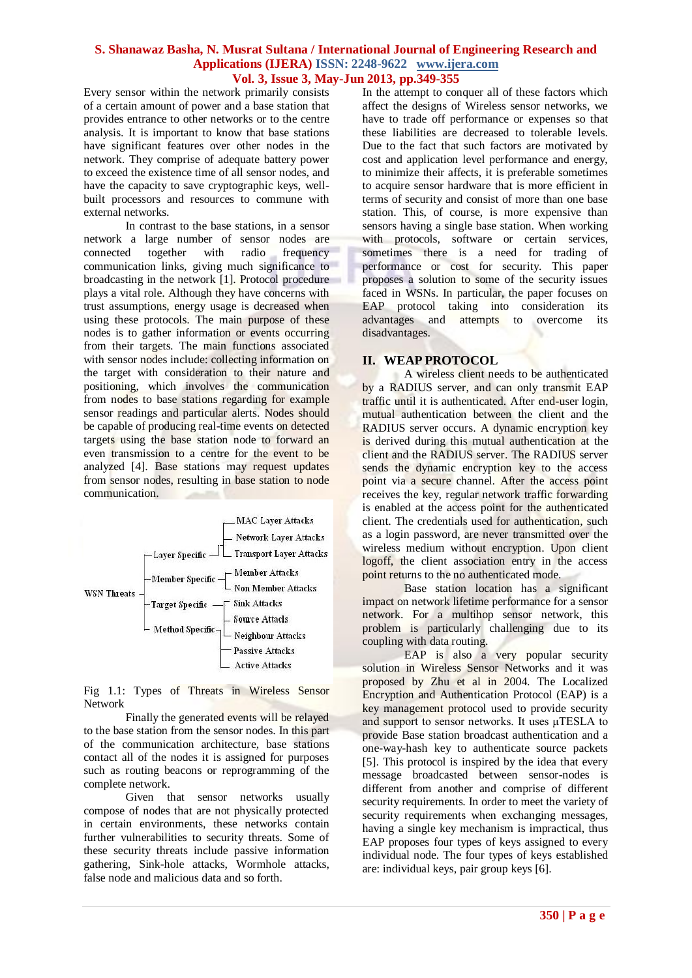Every sensor within the network primarily consists of a certain amount of power and a base station that provides entrance to other networks or to the centre analysis. It is important to know that base stations have significant features over other nodes in the network. They comprise of adequate battery power to exceed the existence time of all sensor nodes, and have the capacity to save cryptographic keys, wellbuilt processors and resources to commune with external networks.

In contrast to the base stations, in a sensor network a large number of sensor nodes are connected together with radio frequency communication links, giving much significance to broadcasting in the network [1]. Protocol procedure plays a vital role. Although they have concerns with trust assumptions, energy usage is decreased when using these protocols. The main purpose of these nodes is to gather information or events occurring from their targets. The main functions associated with sensor nodes include: collecting information on the target with consideration to their nature and positioning, which involves the communication from nodes to base stations regarding for example sensor readings and particular alerts. Nodes should be capable of producing real-time events on detected targets using the base station node to forward an even transmission to a centre for the event to be analyzed [4]. Base stations may request updates from sensor nodes, resulting in base station to node communication.



Fig 1.1: Types of Threats in Wireless Sensor Network

Finally the generated events will be relayed to the base station from the sensor nodes. In this part of the communication architecture, base stations contact all of the nodes it is assigned for purposes such as routing beacons or reprogramming of the complete network.

Given that sensor networks usually compose of nodes that are not physically protected in certain environments, these networks contain further vulnerabilities to security threats. Some of these security threats include passive information gathering, Sink-hole attacks, Wormhole attacks, false node and malicious data and so forth.

In the attempt to conquer all of these factors which affect the designs of Wireless sensor networks, we have to trade off performance or expenses so that these liabilities are decreased to tolerable levels. Due to the fact that such factors are motivated by cost and application level performance and energy, to minimize their affects, it is preferable sometimes to acquire sensor hardware that is more efficient in terms of security and consist of more than one base station. This, of course, is more expensive than sensors having a single base station. When working with protocols, software or certain services, sometimes there is a need for trading of performance or cost for security. This paper proposes a solution to some of the security issues faced in WSNs. In particular, the paper focuses on EAP protocol taking into consideration its advantages and attempts to overcome its disadvantages.

# **II. WEAP PROTOCOL**

A wireless client needs to be authenticated by a RADIUS server, and can only transmit EAP traffic until it is authenticated. After end-user login, mutual authentication between the client and the RADIUS server occurs. A dynamic encryption key is derived during this mutual authentication at the client and the RADIUS server. The RADIUS server sends the dynamic encryption key to the access point via a secure channel. After the access point receives the key, regular network traffic forwarding is enabled at the access point for the authenticated client. The credentials used for authentication, such as a login password, are never transmitted over the wireless medium without encryption. Upon client logoff, the client association entry in the access point returns to the no authenticated mode.

Base station location has a significant impact on network lifetime performance for a sensor network. For a multihop sensor network, this problem is particularly challenging due to its coupling with data routing.

EAP is also a very popular security solution in Wireless Sensor Networks and it was proposed by Zhu et al in 2004. The Localized Encryption and Authentication Protocol (EAP) is a key management protocol used to provide security and support to sensor networks. It uses μTESLA to provide Base station broadcast authentication and a one-way-hash key to authenticate source packets [5]. This protocol is inspired by the idea that every message broadcasted between sensor-nodes is different from another and comprise of different security requirements. In order to meet the variety of security requirements when exchanging messages, having a single key mechanism is impractical, thus EAP proposes four types of keys assigned to every individual node. The four types of keys established are: individual keys, pair group keys [6].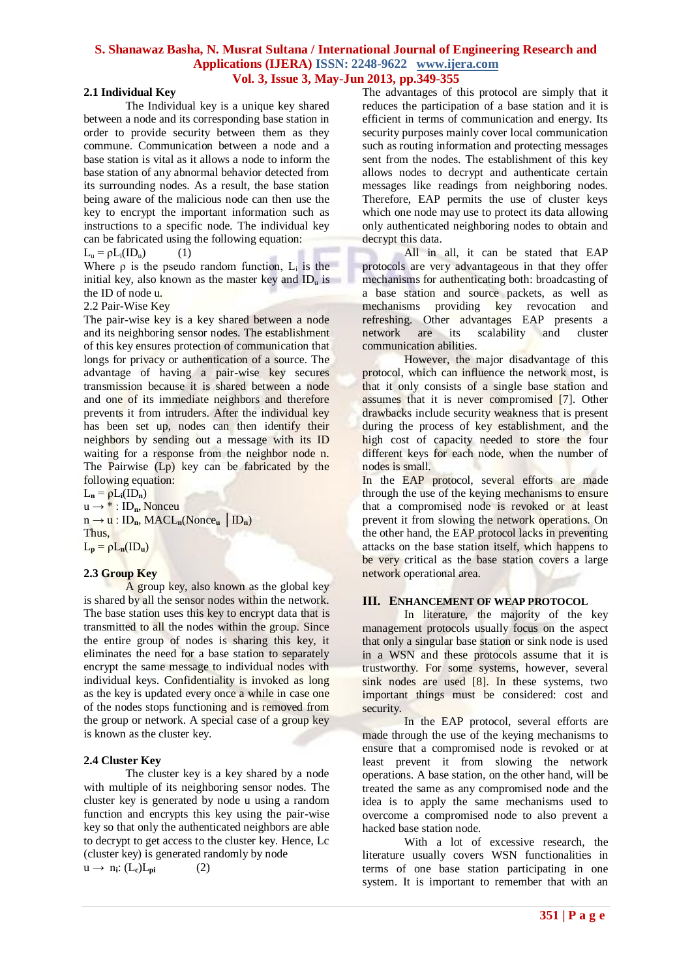## **2.1 Individual Key**

The Individual key is a unique key shared between a node and its corresponding base station in order to provide security between them as they commune. Communication between a node and a base station is vital as it allows a node to inform the base station of any abnormal behavior detected from its surrounding nodes. As a result, the base station being aware of the malicious node can then use the key to encrypt the important information such as instructions to a specific node. The individual key can be fabricated using the following equation:

 $L_u = \rho L_i(ID_u)$  (1)

Where  $\rho$  is the pseudo random function,  $L_i$  is the initial key, also known as the master key and  $ID_n$  is the ID of node u.

2.2 Pair-Wise Key

The pair-wise key is a key shared between a node and its neighboring sensor nodes. The establishment of this key ensures protection of communication that longs for privacy or authentication of a source. The advantage of having a pair-wise key secures transmission because it is shared between a node and one of its immediate neighbors and therefore prevents it from intruders. After the individual key has been set up, nodes can then identify their neighbors by sending out a message with its ID waiting for a response from the neighbor node n. The Pairwise (Lp) key can be fabricated by the following equation:

 $L_n = \rho L_i(ID_n)$  $u \rightarrow * : ID_n$ , Nonceu  $n \rightarrow u : ID_n$ , MACL<sub>n</sub>(Nonce<sub>u</sub> | ID<sub>n</sub>) Thus,  $L_p = \rho L_n(ID_u)$ 

#### **2.3 Group Key**

A group key, also known as the global key is shared by all the sensor nodes within the network. The base station uses this key to encrypt data that is transmitted to all the nodes within the group. Since the entire group of nodes is sharing this key, it eliminates the need for a base station to separately encrypt the same message to individual nodes with individual keys. Confidentiality is invoked as long as the key is updated every once a while in case one of the nodes stops functioning and is removed from the group or network. A special case of a group key is known as the cluster key.

#### **2.4 Cluster Key**

The cluster key is a key shared by a node with multiple of its neighboring sensor nodes. The cluster key is generated by node u using a random function and encrypts this key using the pair-wise key so that only the authenticated neighbors are able to decrypt to get access to the cluster key. Hence, Lc (cluster key) is generated randomly by node  $u \rightarrow n_i$ : (L<sub>c</sub>)L<sub>pi</sub> (2)

The advantages of this protocol are simply that it reduces the participation of a base station and it is efficient in terms of communication and energy. Its security purposes mainly cover local communication such as routing information and protecting messages sent from the nodes. The establishment of this key allows nodes to decrypt and authenticate certain messages like readings from neighboring nodes. Therefore, EAP permits the use of cluster keys which one node may use to protect its data allowing only authenticated neighboring nodes to obtain and decrypt this data.

All in all, it can be stated that EAP protocols are very advantageous in that they offer mechanisms for authenticating both: broadcasting of a base station and source packets, as well as mechanisms providing key revocation and refreshing. Other advantages EAP presents a network are its scalability and cluster communication abilities.

However, the major disadvantage of this protocol, which can influence the network most, is that it only consists of a single base station and assumes that it is never compromised [7]. Other drawbacks include security weakness that is present during the process of key establishment, and the high cost of capacity needed to store the four different keys for each node, when the number of nodes is small.

In the EAP protocol, several efforts are made through the use of the keying mechanisms to ensure that a compromised node is revoked or at least prevent it from slowing the network operations. On the other hand, the EAP protocol lacks in preventing attacks on the base station itself, which happens to be very critical as the base station covers a large network operational area.

#### **III. ENHANCEMENT OF WEAP PROTOCOL**

In literature, the majority of the key management protocols usually focus on the aspect that only a singular base station or sink node is used in a WSN and these protocols assume that it is trustworthy. For some systems, however, several sink nodes are used [8]. In these systems, two important things must be considered: cost and security.

In the EAP protocol, several efforts are made through the use of the keying mechanisms to ensure that a compromised node is revoked or at least prevent it from slowing the network operations. A base station, on the other hand, will be treated the same as any compromised node and the idea is to apply the same mechanisms used to overcome a compromised node to also prevent a hacked base station node.

With a lot of excessive research, the literature usually covers WSN functionalities in terms of one base station participating in one system. It is important to remember that with an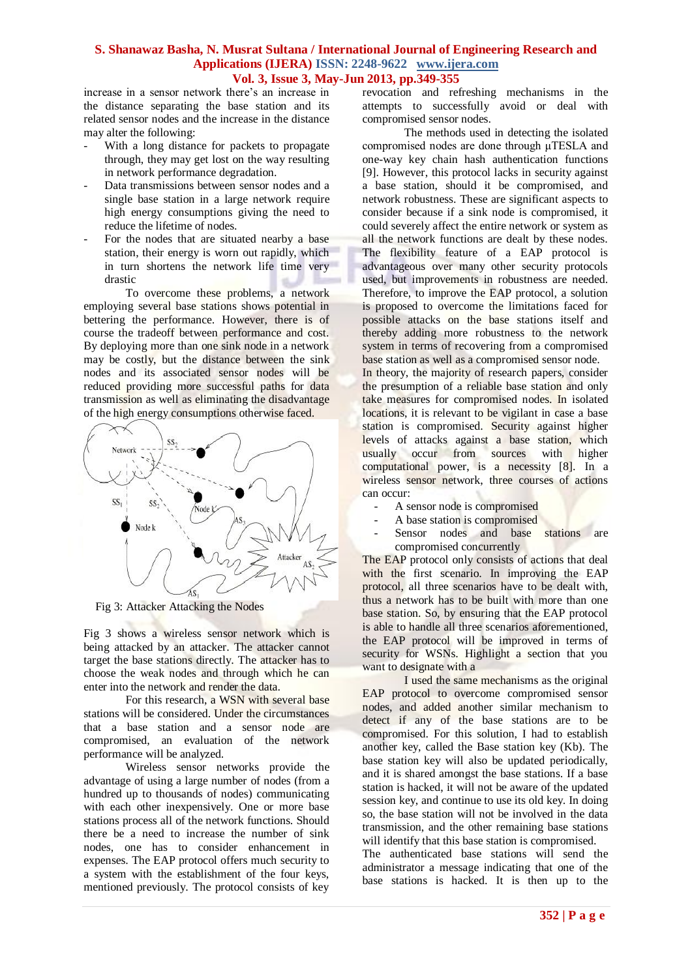increase in a sensor network there's an increase in the distance separating the base station and its related sensor nodes and the increase in the distance may alter the following:

- With a long distance for packets to propagate through, they may get lost on the way resulting in network performance degradation.
- Data transmissions between sensor nodes and a single base station in a large network require high energy consumptions giving the need to reduce the lifetime of nodes.
- For the nodes that are situated nearby a base station, their energy is worn out rapidly, which in turn shortens the network life time very drastic

To overcome these problems, a network employing several base stations shows potential in bettering the performance. However, there is of course the tradeoff between performance and cost. By deploying more than one sink node in a network may be costly, but the distance between the sink nodes and its associated sensor nodes will be reduced providing more successful paths for data transmission as well as eliminating the disadvantage of the high energy consumptions otherwise faced.



Fig 3: Attacker Attacking the Nodes

Fig 3 shows a wireless sensor network which is being attacked by an attacker. The attacker cannot target the base stations directly. The attacker has to choose the weak nodes and through which he can enter into the network and render the data.

For this research, a WSN with several base stations will be considered. Under the circumstances that a base station and a sensor node are compromised, an evaluation of the network performance will be analyzed.

Wireless sensor networks provide the advantage of using a large number of nodes (from a hundred up to thousands of nodes) communicating with each other inexpensively. One or more base stations process all of the network functions. Should there be a need to increase the number of sink nodes, one has to consider enhancement in expenses. The EAP protocol offers much security to a system with the establishment of the four keys, mentioned previously. The protocol consists of key revocation and refreshing mechanisms in the attempts to successfully avoid or deal with compromised sensor nodes.

The methods used in detecting the isolated compromised nodes are done through μTESLA and one-way key chain hash authentication functions [9]. However, this protocol lacks in security against a base station, should it be compromised, and network robustness. These are significant aspects to consider because if a sink node is compromised, it could severely affect the entire network or system as all the network functions are dealt by these nodes. The flexibility feature of a EAP protocol is advantageous over many other security protocols used, but improvements in robustness are needed. Therefore, to improve the EAP protocol, a solution is proposed to overcome the limitations faced for possible attacks on the base stations itself and thereby adding more robustness to the network system in terms of recovering from a compromised base station as well as a compromised sensor node.

In theory, the majority of research papers, consider the presumption of a reliable base station and only take measures for compromised nodes. In isolated locations, it is relevant to be vigilant in case a base station is compromised. Security against higher levels of attacks against a base station, which usually occur from sources with higher computational power, is a necessity [8]. In a wireless sensor network, three courses of actions can occur:

- A sensor node is compromised
- A base station is compromised
- Sensor nodes and base stations are compromised concurrently

The EAP protocol only consists of actions that deal with the first scenario. In improving the EAP protocol, all three scenarios have to be dealt with, thus a network has to be built with more than one base station. So, by ensuring that the EAP protocol is able to handle all three scenarios aforementioned, the EAP protocol will be improved in terms of security for WSNs. Highlight a section that you want to designate with a

I used the same mechanisms as the original EAP protocol to overcome compromised sensor nodes, and added another similar mechanism to detect if any of the base stations are to be compromised. For this solution, I had to establish another key, called the Base station key (Kb). The base station key will also be updated periodically, and it is shared amongst the base stations. If a base station is hacked, it will not be aware of the updated session key, and continue to use its old key. In doing so, the base station will not be involved in the data transmission, and the other remaining base stations will identify that this base station is compromised.

The authenticated base stations will send the administrator a message indicating that one of the base stations is hacked. It is then up to the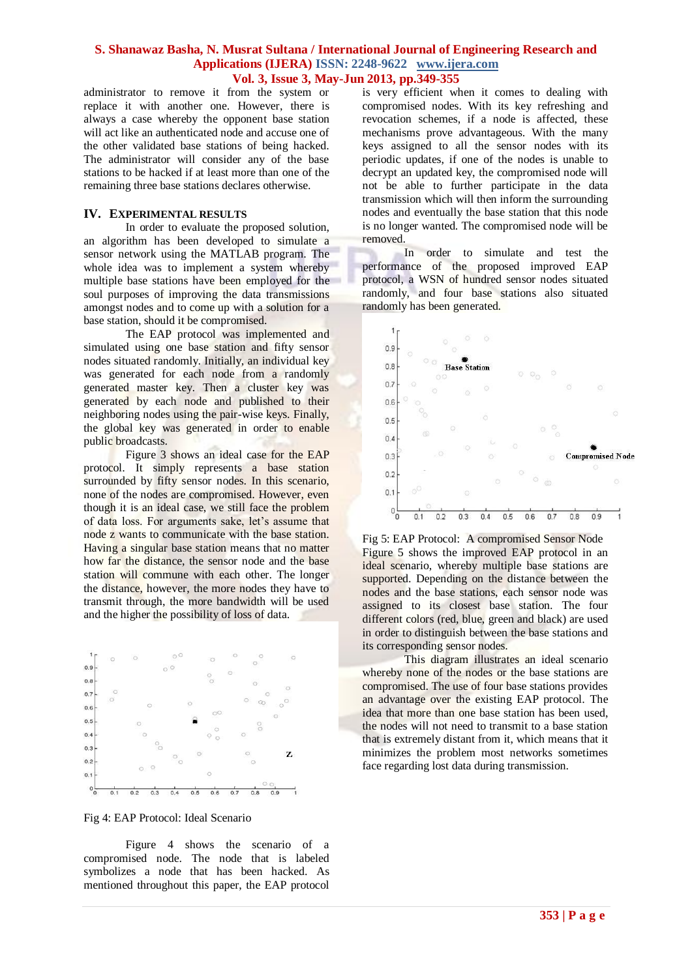administrator to remove it from the system or replace it with another one. However, there is always a case whereby the opponent base station will act like an authenticated node and accuse one of the other validated base stations of being hacked. The administrator will consider any of the base stations to be hacked if at least more than one of the remaining three base stations declares otherwise.

#### **IV. EXPERIMENTAL RESULTS**

In order to evaluate the proposed solution, an algorithm has been developed to simulate a sensor network using the MATLAB program. The whole idea was to implement a system whereby multiple base stations have been employed for the soul purposes of improving the data transmissions amongst nodes and to come up with a solution for a base station, should it be compromised.

The EAP protocol was implemented and simulated using one base station and fifty sensor nodes situated randomly. Initially, an individual key was generated for each node from a randomly generated master key. Then a cluster key was generated by each node and published to their neighboring nodes using the pair-wise keys. Finally, the global key was generated in order to enable public broadcasts.

Figure 3 shows an ideal case for the EAP protocol. It simply represents a base station surrounded by fifty sensor nodes. In this scenario, none of the nodes are compromised. However, even though it is an ideal case, we still face the problem of data loss. For arguments sake, let's assume that node z wants to communicate with the base station. Having a singular base station means that no matter how far the distance, the sensor node and the base station will commune with each other. The longer the distance, however, the more nodes they have to transmit through, the more bandwidth will be used and the higher the possibility of loss of data.



Fig 4: EAP Protocol: Ideal Scenario

Figure 4 shows the scenario of a compromised node. The node that is labeled symbolizes a node that has been hacked. As mentioned throughout this paper, the EAP protocol is very efficient when it comes to dealing with compromised nodes. With its key refreshing and revocation schemes, if a node is affected, these mechanisms prove advantageous. With the many keys assigned to all the sensor nodes with its periodic updates, if one of the nodes is unable to decrypt an updated key, the compromised node will not be able to further participate in the data transmission which will then inform the surrounding nodes and eventually the base station that this node is no longer wanted. The compromised node will be removed.

In order to simulate and test the performance of the proposed improved EAP protocol, a WSN of hundred sensor nodes situated randomly, and four base stations also situated randomly has been generated.



Fig 5: EAP Protocol: A compromised Sensor Node Figure 5 shows the improved EAP protocol in an ideal scenario, whereby multiple base stations are supported. Depending on the distance between the nodes and the base stations, each sensor node was assigned to its closest base station. The four different colors (red, blue, green and black) are used in order to distinguish between the base stations and its corresponding sensor nodes.

This diagram illustrates an ideal scenario whereby none of the nodes or the base stations are compromised. The use of four base stations provides an advantage over the existing EAP protocol. The idea that more than one base station has been used, the nodes will not need to transmit to a base station that is extremely distant from it, which means that it minimizes the problem most networks sometimes face regarding lost data during transmission.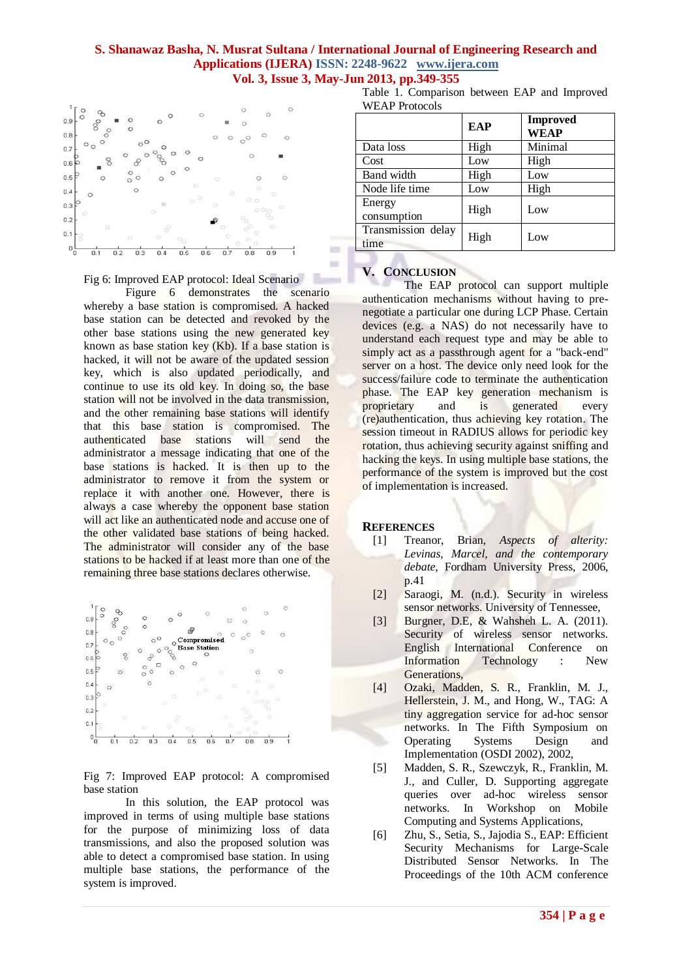$\equiv$ 

÷ **British** 



#### Fig 6: Improved EAP protocol: Ideal Scenario

Figure 6 demonstrates the scenario whereby a base station is compromised. A hacked base station can be detected and revoked by the other base stations using the new generated key known as base station key  $(Kb)$ . If a base station is hacked, it will not be aware of the updated session key, which is also updated periodically, and continue to use its old key. In doing so, the base station will not be involved in the data transmission, and the other remaining base stations will identify that this base station is compromised. The authenticated base stations will send the administrator a message indicating that one of the base stations is hacked. It is then up to the administrator to remove it from the system or replace it with another one. However, there is always a case whereby the opponent base station will act like an authenticated node and accuse one of the other validated base stations of being hacked. The administrator will consider any of the base stations to be hacked if at least more than one of the remaining three base stations declares otherwise.



Fig 7: Improved EAP protocol: A compromised base station

In this solution, the EAP protocol was improved in terms of using multiple base stations for the purpose of minimizing loss of data transmissions, and also the proposed solution was able to detect a compromised base station. In using multiple base stations, the performance of the system is improved.

Table 1. Comparison between EAP and Improved WEAP Protocols

|                            | <b>EAP</b> | <b>Improved</b><br><b>WEAP</b> |
|----------------------------|------------|--------------------------------|
| Data loss                  | High       | Minimal                        |
| Cost                       | Low        | High                           |
| <b>Band</b> width          | High       | Low                            |
| Node life time             | Low        | High                           |
| Energy<br>consumption      | High       | Low                            |
| Transmission delay<br>time | High       | Low                            |

#### **V. CONCLUSION**

The EAP protocol can support multiple authentication mechanisms without having to prenegotiate a particular one during LCP Phase. Certain devices (e.g. a NAS) do not necessarily have to understand each request type and may be able to simply act as a passthrough agent for a "back-end" server on a host. The device only need look for the success/failure code to terminate the authentication phase. The EAP key generation mechanism is proprietary and is generated every (re)authentication, thus achieving key rotation. The session timeout in RADIUS allows for periodic key rotation, thus achieving security against sniffing and hacking the keys. In using multiple base stations, the performance of the system is improved but the cost of implementation is increased.

#### **REFERENCES**

- [1] Treanor, Brian, *Aspects of alterity: Levinas, Marcel, and the contemporary debate*, Fordham University Press, 2006, p.41
- [2] Saraogi, M. (n.d.). Security in wireless sensor networks. University of Tennessee,
- [3] Burgner, D.E, & Wahsheh L. A. (2011). Security of wireless sensor networks. English International Conference on Information Technology : New Generations,
- [4] Ozaki, Madden, S. R., Franklin, M. J., Hellerstein, J. M., and Hong, W., TAG: A tiny aggregation service for ad-hoc sensor networks. In The Fifth Symposium on Operating Systems Design and Implementation (OSDI 2002), 2002,
- [5] Madden, S. R., Szewczyk, R., Franklin, M. J., and Culler, D. Supporting aggregate queries over ad-hoc wireless sensor networks. In Workshop on Mobile Computing and Systems Applications,
- [6] Zhu, S., Setia, S., Jajodia S., EAP: Efficient Security Mechanisms for Large-Scale Distributed Sensor Networks. In The Proceedings of the 10th ACM conference